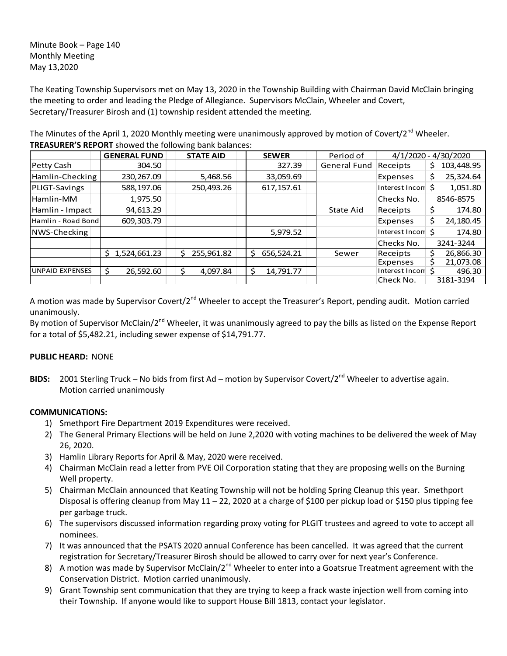Minute Book – Page 140 Monthly Meeting May 13,2020

The Keating Township Supervisors met on May 13, 2020 in the Township Building with Chairman David McClain bringing the meeting to order and leading the Pledge of Allegiance. Supervisors McClain, Wheeler and Covert, Secretary/Treasurer Birosh and (1) township resident attended the meeting.

The Minutes of the April 1, 2020 Monthly meeting were unanimously approved by motion of Covert/2<sup>nd</sup> Wheeler. **TREASURER'S REPORT** showed the following bank balances:

|                     | <b>GENERAL FUND</b> | <b>STATE AID</b> | <b>SEWER</b>     | Period of           |                   | 4/1/2020 - 4/30/2020 |
|---------------------|---------------------|------------------|------------------|---------------------|-------------------|----------------------|
| Petty Cash          | 304.50              |                  | 327.39           | <b>General Fund</b> | Receipts          | 103,448.95           |
| Hamlin-Checking     | 230,267.09          | 5,468.56         | 33,059.69        |                     | Expenses          | 25,324.64            |
| PLIGT-Savings       | 588,197.06          | 250,493.26       | 617, 157.61      |                     | Interest Incom \$ | 1,051.80             |
| Hamlin-MM           | 1,975.50            |                  |                  |                     | Checks No.        | 8546-8575            |
| Hamlin - Impact     | 94.613.29           |                  |                  | State Aid           | Receipts          | \$<br>174.80         |
| Hamlin - Road Bondl | 609,303.79          |                  |                  |                     | Expenses          | 24,180.45<br>\$      |
| NWS-Checking        |                     |                  | 5,979.52         |                     | Interest Incom S  | 174.80               |
|                     |                     |                  |                  |                     | Checks No.        | 3241-3244            |
|                     | 1,524,661.23<br>S.  | 255,961.82       | \$<br>656.524.21 | Sewer               | Receipts          | 26,866.30            |
|                     |                     |                  |                  |                     | Expenses          | 21,073.08            |
| UNPAID EXPENSES     | 26,592.60           | 4.097.84         | Ś<br>14.791.77   |                     | Interest Incom    | 496.30               |
|                     |                     |                  |                  |                     | Check No.         | 3181-3194            |

A motion was made by Supervisor Covert/2<sup>nd</sup> Wheeler to accept the Treasurer's Report, pending audit. Motion carried unanimously.

By motion of Supervisor McClain/2<sup>nd</sup> Wheeler, it was unanimously agreed to pay the bills as listed on the Expense Report for a total of \$5,482.21, including sewer expense of \$14,791.77.

## **PUBLIC HEARD:** NONE

**BIDS:** 2001 Sterling Truck – No bids from first Ad – motion by Supervisor Covert/2<sup>nd</sup> Wheeler to advertise again. Motion carried unanimously

## **COMMUNICATIONS:**

- 1) Smethport Fire Department 2019 Expenditures were received.
- 2) The General Primary Elections will be held on June 2,2020 with voting machines to be delivered the week of May 26, 2020.
- 3) Hamlin Library Reports for April & May, 2020 were received.
- 4) Chairman McClain read a letter from PVE Oil Corporation stating that they are proposing wells on the Burning Well property.
- 5) Chairman McClain announced that Keating Township will not be holding Spring Cleanup this year. Smethport Disposal is offering cleanup from May 11 – 22, 2020 at a charge of \$100 per pickup load or \$150 plus tipping fee per garbage truck.
- 6) The supervisors discussed information regarding proxy voting for PLGIT trustees and agreed to vote to accept all nominees.
- 7) It was announced that the PSATS 2020 annual Conference has been cancelled. It was agreed that the current registration for Secretary/Treasurer Birosh should be allowed to carry over for next year's Conference.
- 8) A motion was made by Supervisor McClain/2<sup>nd</sup> Wheeler to enter into a Goatsrue Treatment agreement with the Conservation District. Motion carried unanimously.
- 9) Grant Township sent communication that they are trying to keep a frack waste injection well from coming into their Township. If anyone would like to support House Bill 1813, contact your legislator.